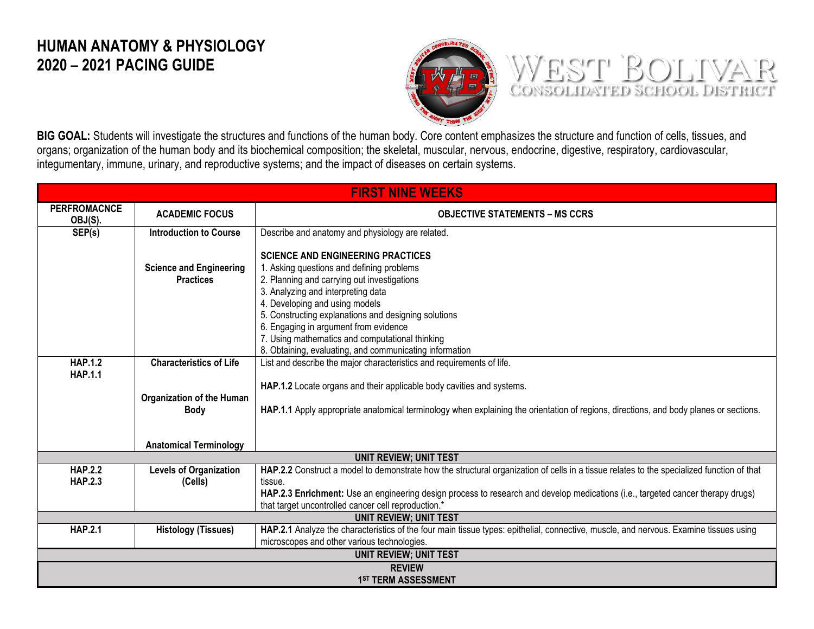## **HUMAN ANATOMY & PHYSIOLOGY 2020 – 2021 PACING GUIDE**



WEST BOLIVAR

**BIG GOAL:** Students will investigate the structures and functions of the human body. Core content emphasizes the structure and function of cells, tissues, and organs; organization of the human body and its biochemical composition; the skeletal, muscular, nervous, endocrine, digestive, respiratory, cardiovascular, integumentary, immune, urinary, and reproductive systems; and the impact of diseases on certain systems.

| <b>FIRST NINE WEEKS</b>          |                                                    |                                                                                                                                                                                                                                                                                                                                                                  |  |
|----------------------------------|----------------------------------------------------|------------------------------------------------------------------------------------------------------------------------------------------------------------------------------------------------------------------------------------------------------------------------------------------------------------------------------------------------------------------|--|
| <b>PERFROMACNCE</b><br>OBJ(S).   | <b>ACADEMIC FOCUS</b>                              | <b>OBJECTIVE STATEMENTS - MS CCRS</b>                                                                                                                                                                                                                                                                                                                            |  |
| SEP(s)                           | <b>Introduction to Course</b>                      | Describe and anatomy and physiology are related.                                                                                                                                                                                                                                                                                                                 |  |
|                                  | <b>Science and Engineering</b><br><b>Practices</b> | <b>SCIENCE AND ENGINEERING PRACTICES</b><br>1. Asking questions and defining problems<br>2. Planning and carrying out investigations<br>3. Analyzing and interpreting data<br>4. Developing and using models<br>5. Constructing explanations and designing solutions<br>6. Engaging in argument from evidence<br>7. Using mathematics and computational thinking |  |
| <b>HAP.1.2</b>                   | <b>Characteristics of Life</b>                     | 8. Obtaining, evaluating, and communicating information<br>List and describe the major characteristics and requirements of life.                                                                                                                                                                                                                                 |  |
| <b>HAP.1.1</b>                   | <b>Organization of the Human</b><br><b>Body</b>    | HAP.1.2 Locate organs and their applicable body cavities and systems.<br>HAP.1.1 Apply appropriate anatomical terminology when explaining the orientation of regions, directions, and body planes or sections.                                                                                                                                                   |  |
|                                  | <b>Anatomical Terminology</b>                      |                                                                                                                                                                                                                                                                                                                                                                  |  |
|                                  |                                                    | <b>UNIT REVIEW; UNIT TEST</b>                                                                                                                                                                                                                                                                                                                                    |  |
| <b>HAP.2.2</b><br><b>HAP.2.3</b> | <b>Levels of Organization</b><br>(Cells)           | HAP.2.2 Construct a model to demonstrate how the structural organization of cells in a tissue relates to the specialized function of that<br>tissue.<br>HAP.2.3 Enrichment: Use an engineering design process to research and develop medications (i.e., targeted cancer therapy drugs)<br>that target uncontrolled cancer cell reproduction.*                   |  |
|                                  |                                                    | <b>UNIT REVIEW; UNIT TEST</b>                                                                                                                                                                                                                                                                                                                                    |  |
| <b>HAP.2.1</b>                   | <b>Histology (Tissues)</b>                         | HAP.2.1 Analyze the characteristics of the four main tissue types: epithelial, connective, muscle, and nervous. Examine tissues using<br>microscopes and other various technologies.                                                                                                                                                                             |  |
|                                  |                                                    | <b>UNIT REVIEW; UNIT TEST</b>                                                                                                                                                                                                                                                                                                                                    |  |
| <b>REVIEW</b>                    |                                                    |                                                                                                                                                                                                                                                                                                                                                                  |  |
|                                  | <b>1ST TERM ASSESSMENT</b>                         |                                                                                                                                                                                                                                                                                                                                                                  |  |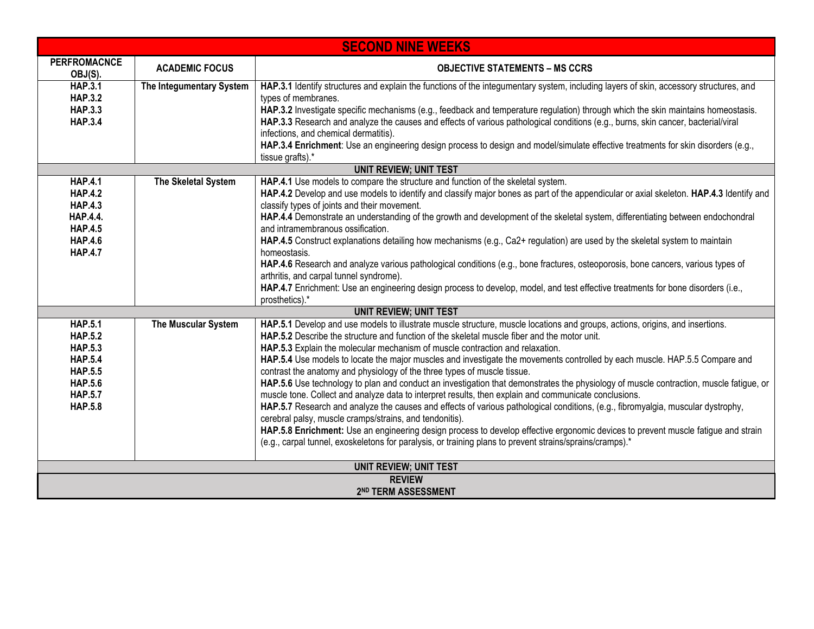|                                                                       | <b>SECOND NINE WEEKS</b> |                                                                                                                                                                                                                                                                                                                                                                                                                                              |  |
|-----------------------------------------------------------------------|--------------------------|----------------------------------------------------------------------------------------------------------------------------------------------------------------------------------------------------------------------------------------------------------------------------------------------------------------------------------------------------------------------------------------------------------------------------------------------|--|
| <b>PERFROMACNCE</b><br>OBJ(S).                                        | <b>ACADEMIC FOCUS</b>    | <b>OBJECTIVE STATEMENTS - MS CCRS</b>                                                                                                                                                                                                                                                                                                                                                                                                        |  |
| <b>HAP.3.1</b><br><b>HAP.3.2</b><br><b>HAP.3.3</b><br><b>HAP.3.4</b>  | The Integumentary System | HAP.3.1 Identify structures and explain the functions of the integumentary system, including layers of skin, accessory structures, and<br>types of membranes.<br>HAP.3.2 Investigate specific mechanisms (e.g., feedback and temperature regulation) through which the skin maintains homeostasis.<br>HAP.3.3 Research and analyze the causes and effects of various pathological conditions (e.g., burns, skin cancer, bacterial/viral      |  |
|                                                                       |                          | infections, and chemical dermatitis).<br>HAP.3.4 Enrichment: Use an engineering design process to design and model/simulate effective treatments for skin disorders (e.g.,<br>tissue grafts).*                                                                                                                                                                                                                                               |  |
|                                                                       |                          | <b>UNIT REVIEW; UNIT TEST</b>                                                                                                                                                                                                                                                                                                                                                                                                                |  |
| <b>HAP.4.1</b><br><b>HAP.4.2</b><br><b>HAP.4.3</b>                    | The Skeletal System      | HAP.4.1 Use models to compare the structure and function of the skeletal system.<br>HAP.4.2 Develop and use models to identify and classify major bones as part of the appendicular or axial skeleton. HAP.4.3 Identify and<br>classify types of joints and their movement.                                                                                                                                                                  |  |
| <b>HAP.4.4.</b><br><b>HAP.4.5</b><br><b>HAP.4.6</b><br><b>HAP.4.7</b> |                          | HAP.4.4 Demonstrate an understanding of the growth and development of the skeletal system, differentiating between endochondral<br>and intramembranous ossification.<br>HAP.4.5 Construct explanations detailing how mechanisms (e.g., Ca2+ regulation) are used by the skeletal system to maintain<br>homeostasis.                                                                                                                          |  |
|                                                                       |                          | HAP.4.6 Research and analyze various pathological conditions (e.g., bone fractures, osteoporosis, bone cancers, various types of<br>arthritis, and carpal tunnel syndrome).<br>HAP.4.7 Enrichment: Use an engineering design process to develop, model, and test effective treatments for bone disorders (i.e.,<br>prosthetics).*                                                                                                            |  |
|                                                                       |                          | <b>UNIT REVIEW; UNIT TEST</b>                                                                                                                                                                                                                                                                                                                                                                                                                |  |
| <b>HAP.5.1</b><br><b>HAP.5.2</b><br><b>HAP.5.3</b>                    | The Muscular System      | HAP.5.1 Develop and use models to illustrate muscle structure, muscle locations and groups, actions, origins, and insertions.<br>HAP.5.2 Describe the structure and function of the skeletal muscle fiber and the motor unit.<br>HAP.5.3 Explain the molecular mechanism of muscle contraction and relaxation.                                                                                                                               |  |
| <b>HAP.5.4</b><br><b>HAP.5.5</b>                                      |                          | HAP.5.4 Use models to locate the major muscles and investigate the movements controlled by each muscle. HAP.5.5 Compare and<br>contrast the anatomy and physiology of the three types of muscle tissue.                                                                                                                                                                                                                                      |  |
| <b>HAP.5.6</b><br><b>HAP.5.7</b><br><b>HAP.5.8</b>                    |                          | HAP.5.6 Use technology to plan and conduct an investigation that demonstrates the physiology of muscle contraction, muscle fatigue, or<br>muscle tone. Collect and analyze data to interpret results, then explain and communicate conclusions.                                                                                                                                                                                              |  |
|                                                                       |                          | HAP.5.7 Research and analyze the causes and effects of various pathological conditions, (e.g., fibromyalgia, muscular dystrophy,<br>cerebral palsy, muscle cramps/strains, and tendonitis).<br>HAP.5.8 Enrichment: Use an engineering design process to develop effective ergonomic devices to prevent muscle fatigue and strain<br>(e.g., carpal tunnel, exoskeletons for paralysis, or training plans to prevent strains/sprains/cramps).* |  |
| <b>UNIT REVIEW; UNIT TEST</b>                                         |                          |                                                                                                                                                                                                                                                                                                                                                                                                                                              |  |
| <b>REVIEW</b>                                                         |                          |                                                                                                                                                                                                                                                                                                                                                                                                                                              |  |
|                                                                       |                          | 2ND TERM ASSESSMENT                                                                                                                                                                                                                                                                                                                                                                                                                          |  |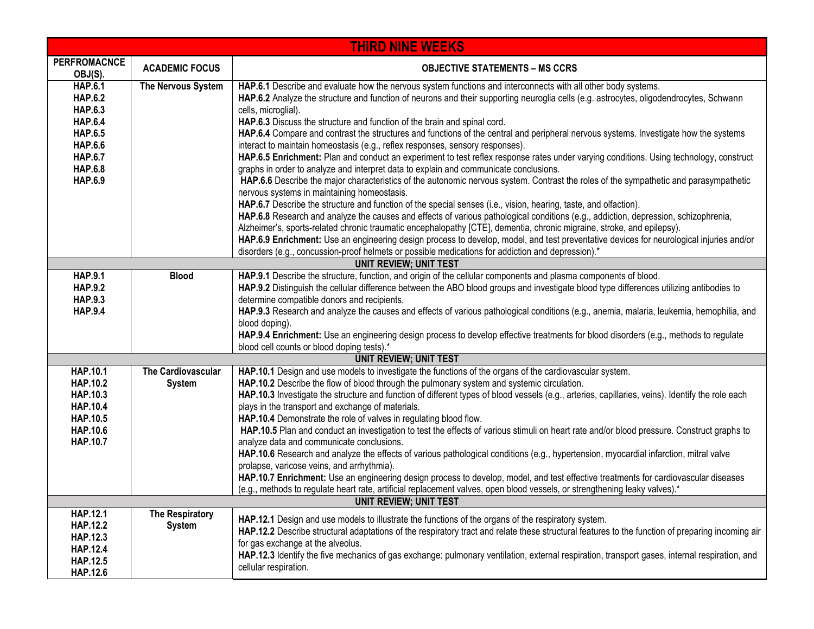| <b>THIRD NINE WEEKS</b>                                                                                                                                        |                                     |                                                                                                                                                                                                                                                                                                                                                                                                                                                                                                                                                                                                                                                                                                                                                                                                                                                                                                                                                                                                                                                                                                                                                                                                                                                                                                                                                                                                                                                                                                                                                                                                                                                     |
|----------------------------------------------------------------------------------------------------------------------------------------------------------------|-------------------------------------|-----------------------------------------------------------------------------------------------------------------------------------------------------------------------------------------------------------------------------------------------------------------------------------------------------------------------------------------------------------------------------------------------------------------------------------------------------------------------------------------------------------------------------------------------------------------------------------------------------------------------------------------------------------------------------------------------------------------------------------------------------------------------------------------------------------------------------------------------------------------------------------------------------------------------------------------------------------------------------------------------------------------------------------------------------------------------------------------------------------------------------------------------------------------------------------------------------------------------------------------------------------------------------------------------------------------------------------------------------------------------------------------------------------------------------------------------------------------------------------------------------------------------------------------------------------------------------------------------------------------------------------------------------|
| <b>PERFROMACNCE</b><br>OBJ(S).                                                                                                                                 | <b>ACADEMIC FOCUS</b>               | <b>OBJECTIVE STATEMENTS - MS CCRS</b>                                                                                                                                                                                                                                                                                                                                                                                                                                                                                                                                                                                                                                                                                                                                                                                                                                                                                                                                                                                                                                                                                                                                                                                                                                                                                                                                                                                                                                                                                                                                                                                                               |
| <b>HAP.6.1</b><br><b>HAP.6.2</b><br><b>HAP.6.3</b><br><b>HAP.6.4</b><br><b>HAP.6.5</b><br><b>HAP.6.6</b><br><b>HAP.6.7</b><br><b>HAP.6.8</b><br><b>HAP.6.9</b> | The Nervous System                  | HAP.6.1 Describe and evaluate how the nervous system functions and interconnects with all other body systems.<br>HAP.6.2 Analyze the structure and function of neurons and their supporting neuroglia cells (e.g. astrocytes, oligodendrocytes, Schwann<br>cells, microglial).<br>HAP.6.3 Discuss the structure and function of the brain and spinal cord.<br>HAP.6.4 Compare and contrast the structures and functions of the central and peripheral nervous systems. Investigate how the systems<br>interact to maintain homeostasis (e.g., reflex responses, sensory responses).<br>HAP.6.5 Enrichment: Plan and conduct an experiment to test reflex response rates under varying conditions. Using technology, construct<br>graphs in order to analyze and interpret data to explain and communicate conclusions.<br>HAP.6.6 Describe the major characteristics of the autonomic nervous system. Contrast the roles of the sympathetic and parasympathetic<br>nervous systems in maintaining homeostasis.<br>HAP.6.7 Describe the structure and function of the special senses (i.e., vision, hearing, taste, and olfaction).<br>HAP.6.8 Research and analyze the causes and effects of various pathological conditions (e.g., addiction, depression, schizophrenia,<br>Alzheimer's, sports-related chronic traumatic encephalopathy [CTE], dementia, chronic migraine, stroke, and epilepsy).<br>HAP.6.9 Enrichment: Use an engineering design process to develop, model, and test preventative devices for neurological injuries and/or<br>disorders (e.g., concussion-proof helmets or possible medications for addiction and depression).* |
|                                                                                                                                                                |                                     | <b>UNIT REVIEW; UNIT TEST</b>                                                                                                                                                                                                                                                                                                                                                                                                                                                                                                                                                                                                                                                                                                                                                                                                                                                                                                                                                                                                                                                                                                                                                                                                                                                                                                                                                                                                                                                                                                                                                                                                                       |
| <b>HAP.9.1</b><br><b>HAP.9.2</b><br><b>HAP.9.3</b><br><b>HAP.9.4</b>                                                                                           | <b>Blood</b>                        | HAP.9.1 Describe the structure, function, and origin of the cellular components and plasma components of blood.<br>HAP.9.2 Distinguish the cellular difference between the ABO blood groups and investigate blood type differences utilizing antibodies to<br>determine compatible donors and recipients.<br>HAP.9.3 Research and analyze the causes and effects of various pathological conditions (e.g., anemia, malaria, leukemia, hemophilia, and<br>blood doping).<br>HAP.9.4 Enrichment: Use an engineering design process to develop effective treatments for blood disorders (e.g., methods to regulate<br>blood cell counts or blood doping tests).*                                                                                                                                                                                                                                                                                                                                                                                                                                                                                                                                                                                                                                                                                                                                                                                                                                                                                                                                                                                       |
|                                                                                                                                                                |                                     | <b>UNIT REVIEW; UNIT TEST</b>                                                                                                                                                                                                                                                                                                                                                                                                                                                                                                                                                                                                                                                                                                                                                                                                                                                                                                                                                                                                                                                                                                                                                                                                                                                                                                                                                                                                                                                                                                                                                                                                                       |
| HAP.10.1<br><b>HAP.10.2</b><br>HAP.10.3<br><b>HAP.10.4</b><br>HAP.10.5<br>HAP.10.6<br><b>HAP.10.7</b>                                                          | The Cardiovascular<br><b>System</b> | HAP.10.1 Design and use models to investigate the functions of the organs of the cardiovascular system.<br>HAP.10.2 Describe the flow of blood through the pulmonary system and systemic circulation.<br>HAP.10.3 Investigate the structure and function of different types of blood vessels (e.g., arteries, capillaries, veins). Identify the role each<br>plays in the transport and exchange of materials.<br>HAP.10.4 Demonstrate the role of valves in regulating blood flow.<br>HAP.10.5 Plan and conduct an investigation to test the effects of various stimuli on heart rate and/or blood pressure. Construct graphs to<br>analyze data and communicate conclusions.<br>HAP.10.6 Research and analyze the effects of various pathological conditions (e.g., hypertension, myocardial infarction, mitral valve<br>prolapse, varicose veins, and arrhythmia).<br>HAP.10.7 Enrichment: Use an engineering design process to develop, model, and test effective treatments for cardiovascular diseases<br>(e.g., methods to regulate heart rate, artificial replacement valves, open blood vessels, or strengthening leaky valves).*                                                                                                                                                                                                                                                                                                                                                                                                                                                                                                          |
| <b>UNIT REVIEW; UNIT TEST</b>                                                                                                                                  |                                     |                                                                                                                                                                                                                                                                                                                                                                                                                                                                                                                                                                                                                                                                                                                                                                                                                                                                                                                                                                                                                                                                                                                                                                                                                                                                                                                                                                                                                                                                                                                                                                                                                                                     |
| <b>HAP.12.1</b><br><b>HAP.12.2</b><br><b>HAP.12.3</b><br><b>HAP.12.4</b><br><b>HAP.12.5</b><br><b>HAP.12.6</b>                                                 | The Respiratory<br><b>System</b>    | HAP.12.1 Design and use models to illustrate the functions of the organs of the respiratory system.<br>HAP.12.2 Describe structural adaptations of the respiratory tract and relate these structural features to the function of preparing incoming air<br>for gas exchange at the alveolus.<br>HAP.12.3 Identify the five mechanics of gas exchange: pulmonary ventilation, external respiration, transport gases, internal respiration, and<br>cellular respiration.                                                                                                                                                                                                                                                                                                                                                                                                                                                                                                                                                                                                                                                                                                                                                                                                                                                                                                                                                                                                                                                                                                                                                                              |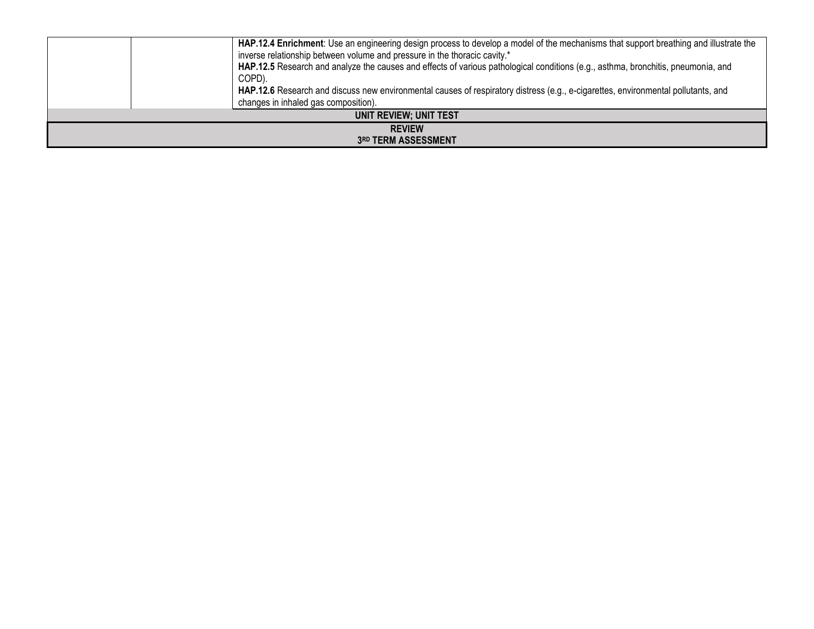|                                      | HAP.12.4 Enrichment: Use an engineering design process to develop a model of the mechanisms that support breathing and illustrate the<br>inverse relationship between volume and pressure in the thoracic cavity.*<br>HAP.12.5 Research and analyze the causes and effects of various pathological conditions (e.g., asthma, bronchitis, pneumonia, and<br>COPD).<br>HAP.12.6 Research and discuss new environmental causes of respiratory distress (e.g., e-cigarettes, environmental pollutants, and<br>changes in inhaled gas composition). |
|--------------------------------------|------------------------------------------------------------------------------------------------------------------------------------------------------------------------------------------------------------------------------------------------------------------------------------------------------------------------------------------------------------------------------------------------------------------------------------------------------------------------------------------------------------------------------------------------|
| UNIT REVIEW; UNIT TEST               |                                                                                                                                                                                                                                                                                                                                                                                                                                                                                                                                                |
| <b>REVIEW</b><br>3RD TERM ASSESSMENT |                                                                                                                                                                                                                                                                                                                                                                                                                                                                                                                                                |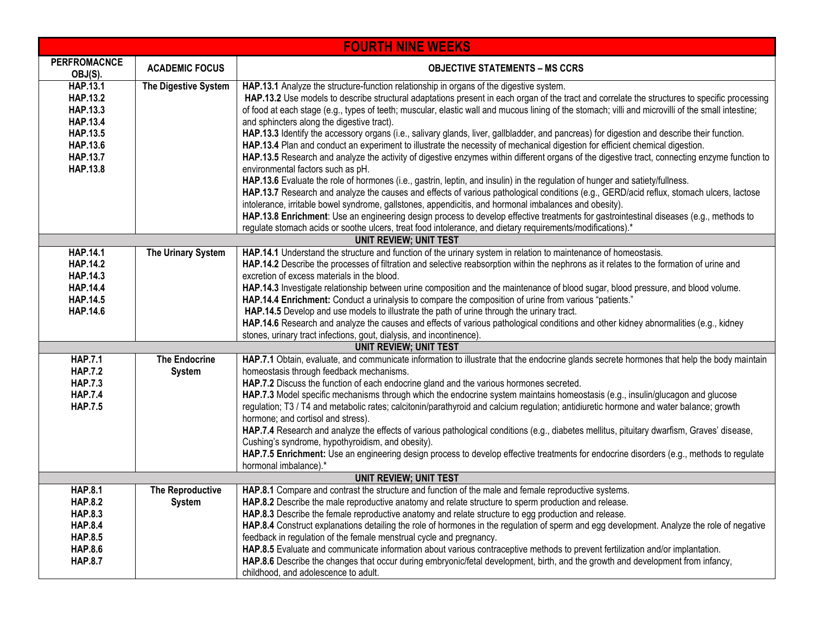| <b>FOURTH NINE WEEKS</b>                                                                                                                                                                   |                                                             |                                                                                                                                                                                                                                                                                                                                                                                                                                                                                                                                                                                                                                                                                                                                                                                                                                                                                                                                                                                                                                                                                                                                                                                                                                                                                                                                                                                                                                                                                                                                                                                                                                                               |  |
|--------------------------------------------------------------------------------------------------------------------------------------------------------------------------------------------|-------------------------------------------------------------|---------------------------------------------------------------------------------------------------------------------------------------------------------------------------------------------------------------------------------------------------------------------------------------------------------------------------------------------------------------------------------------------------------------------------------------------------------------------------------------------------------------------------------------------------------------------------------------------------------------------------------------------------------------------------------------------------------------------------------------------------------------------------------------------------------------------------------------------------------------------------------------------------------------------------------------------------------------------------------------------------------------------------------------------------------------------------------------------------------------------------------------------------------------------------------------------------------------------------------------------------------------------------------------------------------------------------------------------------------------------------------------------------------------------------------------------------------------------------------------------------------------------------------------------------------------------------------------------------------------------------------------------------------------|--|
| <b>PERFROMACNCE</b><br>OBJ(S).                                                                                                                                                             | <b>ACADEMIC FOCUS</b>                                       | <b>OBJECTIVE STATEMENTS – MS CCRS</b>                                                                                                                                                                                                                                                                                                                                                                                                                                                                                                                                                                                                                                                                                                                                                                                                                                                                                                                                                                                                                                                                                                                                                                                                                                                                                                                                                                                                                                                                                                                                                                                                                         |  |
| HAP.13.1<br><b>HAP.13.2</b><br><b>HAP.13.3</b><br><b>HAP.13.4</b><br><b>HAP.13.5</b><br><b>HAP.13.6</b><br><b>HAP.13.7</b><br><b>HAP.13.8</b>                                              | The Digestive System                                        | HAP.13.1 Analyze the structure-function relationship in organs of the digestive system.<br>HAP.13.2 Use models to describe structural adaptations present in each organ of the tract and correlate the structures to specific processing<br>of food at each stage (e.g., types of teeth; muscular, elastic wall and mucous lining of the stomach; villi and microvilli of the small intestine;<br>and sphincters along the digestive tract).<br>HAP.13.3 Identify the accessory organs (i.e., salivary glands, liver, gallbladder, and pancreas) for digestion and describe their function.<br>HAP.13.4 Plan and conduct an experiment to illustrate the necessity of mechanical digestion for efficient chemical digestion.<br>HAP.13.5 Research and analyze the activity of digestive enzymes within different organs of the digestive tract, connecting enzyme function to<br>environmental factors such as pH.<br>HAP.13.6 Evaluate the role of hormones (i.e., gastrin, leptin, and insulin) in the regulation of hunger and satiety/fullness.                                                                                                                                                                                                                                                                                                                                                                                                                                                                                                                                                                                                           |  |
|                                                                                                                                                                                            |                                                             | HAP.13.7 Research and analyze the causes and effects of various pathological conditions (e.g., GERD/acid reflux, stomach ulcers, lactose<br>intolerance, irritable bowel syndrome, gallstones, appendicitis, and hormonal imbalances and obesity).<br>HAP.13.8 Enrichment: Use an engineering design process to develop effective treatments for gastrointestinal diseases (e.g., methods to<br>regulate stomach acids or soothe ulcers, treat food intolerance, and dietary requirements/modifications).*                                                                                                                                                                                                                                                                                                                                                                                                                                                                                                                                                                                                                                                                                                                                                                                                                                                                                                                                                                                                                                                                                                                                                    |  |
| <b>UNIT REVIEW; UNIT TEST</b>                                                                                                                                                              |                                                             |                                                                                                                                                                                                                                                                                                                                                                                                                                                                                                                                                                                                                                                                                                                                                                                                                                                                                                                                                                                                                                                                                                                                                                                                                                                                                                                                                                                                                                                                                                                                                                                                                                                               |  |
| HAP.14.1<br><b>HAP.14.2</b><br><b>HAP.14.3</b><br><b>HAP.14.4</b><br><b>HAP.14.5</b><br>HAP.14.6<br><b>HAP.7.1</b><br><b>HAP.7.2</b><br><b>HAP.7.3</b><br><b>HAP.7.4</b><br><b>HAP.7.5</b> | The Urinary System<br><b>The Endocrine</b><br><b>System</b> | HAP.14.1 Understand the structure and function of the urinary system in relation to maintenance of homeostasis.<br>HAP.14.2 Describe the processes of filtration and selective reabsorption within the nephrons as it relates to the formation of urine and<br>excretion of excess materials in the blood.<br>HAP.14.3 Investigate relationship between urine composition and the maintenance of blood sugar, blood pressure, and blood volume.<br>HAP.14.4 Enrichment: Conduct a urinalysis to compare the composition of urine from various "patients."<br>HAP.14.5 Develop and use models to illustrate the path of urine through the urinary tract.<br>HAP.14.6 Research and analyze the causes and effects of various pathological conditions and other kidney abnormalities (e.g., kidney<br>stones, urinary tract infections, gout, dialysis, and incontinence).<br><b>UNIT REVIEW; UNIT TEST</b><br>HAP.7.1 Obtain, evaluate, and communicate information to illustrate that the endocrine glands secrete hormones that help the body maintain<br>homeostasis through feedback mechanisms.<br>HAP.7.2 Discuss the function of each endocrine gland and the various hormones secreted.<br>HAP.7.3 Model specific mechanisms through which the endocrine system maintains homeostasis (e.g., insulin/glucagon and glucose<br>regulation; T3 / T4 and metabolic rates; calcitonin/parathyroid and calcium regulation; antidiuretic hormone and water balance; growth<br>hormone; and cortisol and stress).<br>HAP.7.4 Research and analyze the effects of various pathological conditions (e.g., diabetes mellitus, pituitary dwarfism, Graves' disease, |  |
|                                                                                                                                                                                            |                                                             | Cushing's syndrome, hypothyroidism, and obesity).<br>HAP.7.5 Enrichment: Use an engineering design process to develop effective treatments for endocrine disorders (e.g., methods to regulate<br>hormonal imbalance).*                                                                                                                                                                                                                                                                                                                                                                                                                                                                                                                                                                                                                                                                                                                                                                                                                                                                                                                                                                                                                                                                                                                                                                                                                                                                                                                                                                                                                                        |  |
|                                                                                                                                                                                            |                                                             | <b>UNIT REVIEW; UNIT TEST</b>                                                                                                                                                                                                                                                                                                                                                                                                                                                                                                                                                                                                                                                                                                                                                                                                                                                                                                                                                                                                                                                                                                                                                                                                                                                                                                                                                                                                                                                                                                                                                                                                                                 |  |
| <b>HAP.8.1</b><br><b>HAP.8.2</b><br><b>HAP.8.3</b><br><b>HAP.8.4</b><br><b>HAP.8.5</b>                                                                                                     | <b>The Reproductive</b><br><b>System</b>                    | HAP.8.1 Compare and contrast the structure and function of the male and female reproductive systems.<br>HAP.8.2 Describe the male reproductive anatomy and relate structure to sperm production and release.<br>HAP.8.3 Describe the female reproductive anatomy and relate structure to egg production and release.<br>HAP.8.4 Construct explanations detailing the role of hormones in the regulation of sperm and egg development. Analyze the role of negative<br>feedback in regulation of the female menstrual cycle and pregnancy.                                                                                                                                                                                                                                                                                                                                                                                                                                                                                                                                                                                                                                                                                                                                                                                                                                                                                                                                                                                                                                                                                                                     |  |
| <b>HAP.8.6</b><br><b>HAP.8.7</b>                                                                                                                                                           |                                                             | HAP.8.5 Evaluate and communicate information about various contraceptive methods to prevent fertilization and/or implantation.<br>HAP.8.6 Describe the changes that occur during embryonic/fetal development, birth, and the growth and development from infancy,<br>childhood, and adolescence to adult.                                                                                                                                                                                                                                                                                                                                                                                                                                                                                                                                                                                                                                                                                                                                                                                                                                                                                                                                                                                                                                                                                                                                                                                                                                                                                                                                                     |  |